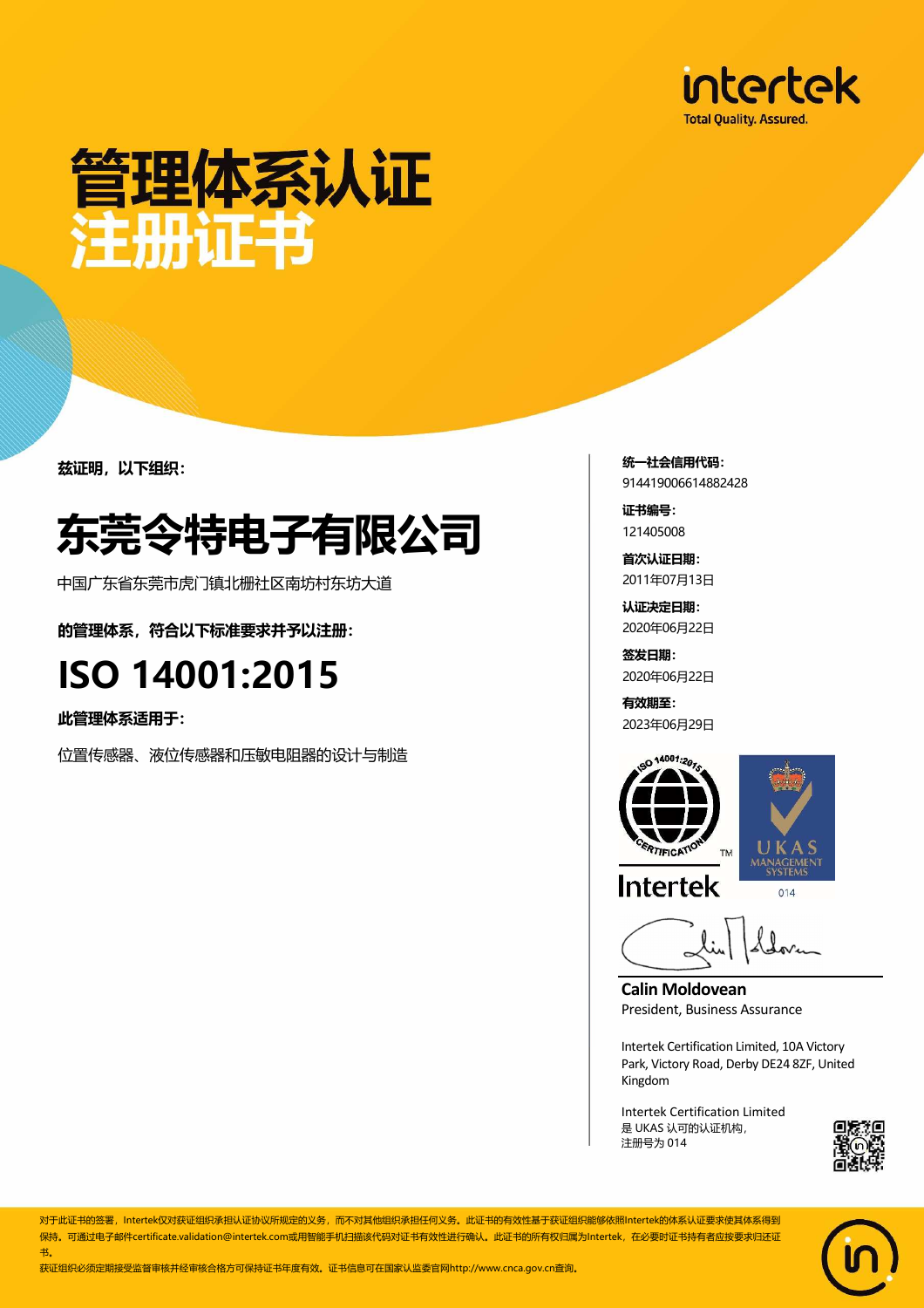

## 管理体系认证 注册证书

兹证明,以下组织:

### 东莞令特电子有限公司

中国广东省东莞市虎门镇北栅社区南坊村东坊大道

的管理体系,符合以下标准要求并予以注册:

#### ISO 14001:2015

此管理体系适用于:

位置传感器、液位传感器和压敏电阻器的设计与制造

统一社会信用代码: 914419006614882428

证书编号: 121405008

首次认证日期: 2011年07月13日

认证决定日期: 2020年06月22日

签发日期: 2020年06月22日

有效期至: 2023年06月29日





**Intertek** 

 $014$ 

**Calin Moldovean**  President, Business Assurance

Intertek Certification Limited, 10A Victory Park, Victory Road, Derby DE24 8ZF, United Kingdom

Intertek Certification Limited 是 UKAS 认可的认证机构, 注册号为 014



对于此证书的签署,Intertek仅对获证组织承担认证协议所规定的义务,而不对其他组织承担任何义务。此证书的有效性基于获证组织能够依照Intertek的体系认证要求使其体系得到 保持。可通过电子邮件certificate.validation@intertek.com或用智能手机扫描该代码对证书有效性进行确认。此证书的所有权归属为Intertek,在必要时证书持有者应按要求归还证 书。